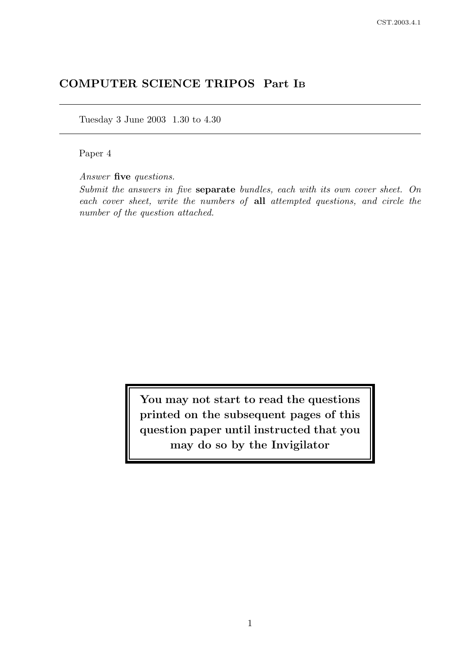# COMPUTER SCIENCE TRIPOS Part I<sup>B</sup>

Tuesday 3 June 2003 1.30 to 4.30

Paper 4

Answer five questions.

Submit the answers in five separate bundles, each with its own cover sheet. On each cover sheet, write the numbers of all attempted questions, and circle the number of the question attached.

> You may not start to read the questions printed on the subsequent pages of this question paper until instructed that you may do so by the Invigilator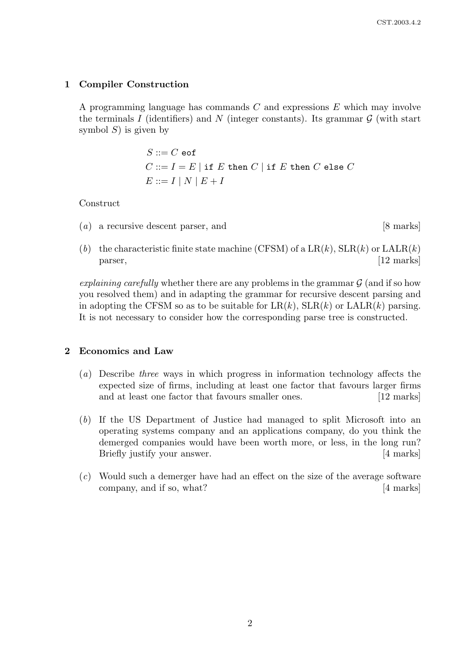#### 1 Compiler Construction

A programming language has commands C and expressions E which may involve the terminals I (identifiers) and N (integer constants). Its grammar  $\mathcal G$  (with start symbol  $S$ ) is given by

$$
S ::= C \text{ eof}
$$
  

$$
C ::= I = E | \text{ if } E \text{ then } C | \text{ if } E \text{ then } C \text{ else } C
$$
  

$$
E ::= I | N | E + I
$$

Construct

(a) a recursive descent parser, and [8 marks]

(b) the characteristic finite state machine (CFSM) of a  $LR(k)$ ,  $SLR(k)$  or  $LALR(k)$ parser, [12 marks]

explaining carefully whether there are any problems in the grammar  $\mathcal G$  (and if so how you resolved them) and in adapting the grammar for recursive descent parsing and in adopting the CFSM so as to be suitable for  $LR(k)$ ,  $SLR(k)$  or  $LALR(k)$  parsing. It is not necessary to consider how the corresponding parse tree is constructed.

### 2 Economics and Law

- (a) Describe three ways in which progress in information technology affects the expected size of firms, including at least one factor that favours larger firms and at least one factor that favours smaller ones. [12 marks]
- (b) If the US Department of Justice had managed to split Microsoft into an operating systems company and an applications company, do you think the demerged companies would have been worth more, or less, in the long run? Briefly justify your answer. [4 marks]
- (c) Would such a demerger have had an effect on the size of the average software company, and if so, what? [4 marks]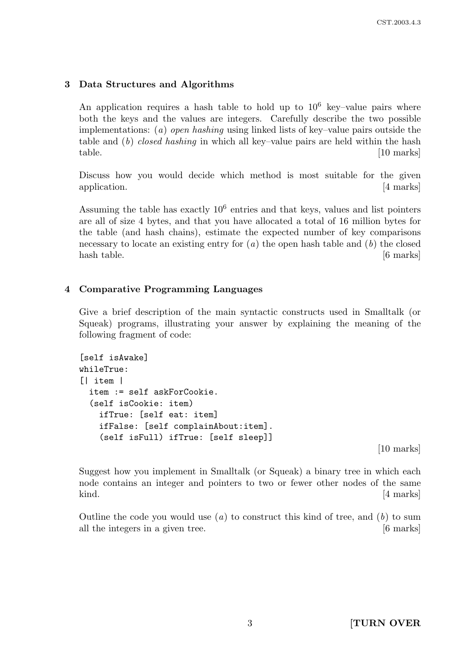## 3 Data Structures and Algorithms

An application requires a hash table to hold up to  $10^6$  key-value pairs where both the keys and the values are integers. Carefully describe the two possible implementations:  $(a)$  open hashing using linked lists of key–value pairs outside the table and  $(b)$  closed hashing in which all key–value pairs are held within the hash table. [10 marks]

Discuss how you would decide which method is most suitable for the given application. [4 marks]

Assuming the table has exactly 10<sup>6</sup> entries and that keys, values and list pointers are all of size 4 bytes, and that you have allocated a total of 16 million bytes for the table (and hash chains), estimate the expected number of key comparisons necessary to locate an existing entry for  $(a)$  the open hash table and  $(b)$  the closed hash table. [6 marks]

## 4 Comparative Programming Languages

Give a brief description of the main syntactic constructs used in Smalltalk (or Squeak) programs, illustrating your answer by explaining the meaning of the following fragment of code:

```
[self isAwake]
whileTrue:
[| item |
  item := self askForCookie.
  (self isCookie: item)
    ifTrue: [self eat: item]
    ifFalse: [self complainAbout:item].
    (self isFull) ifTrue: [self sleep]]
```
[10 marks]

Suggest how you implement in Smalltalk (or Squeak) a binary tree in which each node contains an integer and pointers to two or fewer other nodes of the same kind. [4 marks]

Outline the code you would use  $(a)$  to construct this kind of tree, and  $(b)$  to sum all the integers in a given tree. [6 marks]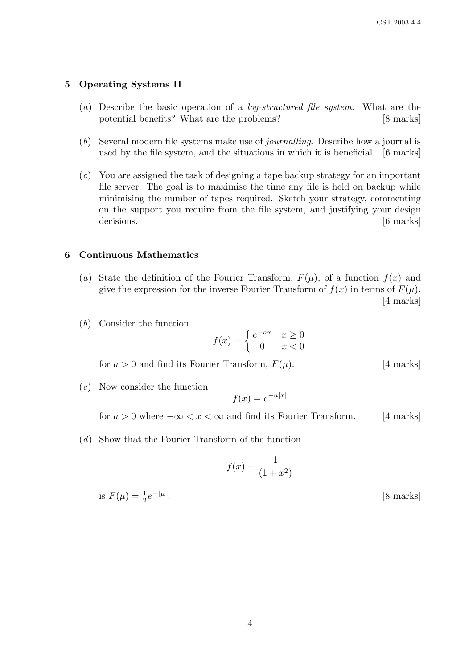#### 5 Operating Systems II

- (a) Describe the basic operation of a log-structured file system. What are the potential benefits? What are the problems? [8 marks]
- (b) Several modern file systems make use of journalling. Describe how a journal is used by the file system, and the situations in which it is beneficial. [6 marks]
- (c) You are assigned the task of designing a tape backup strategy for an important file server. The goal is to maximise the time any file is held on backup while minimising the number of tapes required. Sketch your strategy, commenting on the support you require from the file system, and justifying your design decisions. [6 marks]

#### 6 Continuous Mathematics

- (a) State the definition of the Fourier Transform,  $F(\mu)$ , of a function  $f(x)$  and give the expression for the inverse Fourier Transform of  $f(x)$  in terms of  $F(\mu)$ . [4 marks]
- (b) Consider the function

$$
f(x) = \begin{cases} e^{-ax} & x \ge 0 \\ 0 & x < 0 \end{cases}
$$

for  $a > 0$  and find its Fourier Transform,  $F(\mu)$ . [4 marks]

(c) Now consider the function

is  $F(\mu) = \frac{1}{2}e^{-|\mu|}$ 

$$
f(x) = e^{-a|x|}
$$

for  $a > 0$  where  $-\infty < x < \infty$  and find its Fourier Transform. [4 marks]

(d) Show that the Fourier Transform of the function

$$
f(x) = \frac{1}{(1+x^2)}
$$

. [8 marks]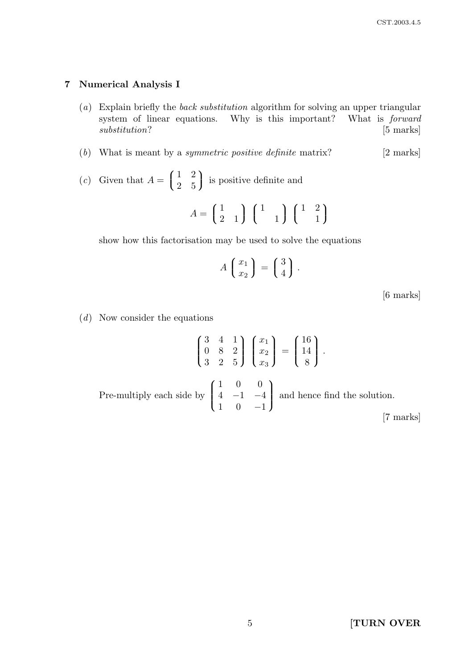## 7 Numerical Analysis I

- (a) Explain briefly the back substitution algorithm for solving an upper triangular system of linear equations. Why is this important? What is forward substitution? [5 marks]
- (b) What is meant by a *symmetric positive definite* matrix?  $[2 \text{ marks}]$
- (c) Given that  $A = \left( \begin{array}{cc} \end{array} \right)$  $\mathcal{L}$ 1 2 2 5 is positive definite and

$$
A = \begin{pmatrix} 1 & 1 \\ 2 & 1 \end{pmatrix} \begin{pmatrix} 1 & 1 \\ 1 & 1 \end{pmatrix} \begin{pmatrix} 1 & 2 \\ 1 & 1 \end{pmatrix}
$$

show how this factorisation may be used to solve the equations

$$
A\left(\begin{array}{c}x_1\\x_2\end{array}\right)=\left(\begin{array}{c}3\\4\end{array}\right).
$$

[6 marks]

 $(d)$  Now consider the equations

$$
\begin{pmatrix} 3 & 4 & 1 \ 0 & 8 & 2 \ 3 & 2 & 5 \end{pmatrix} \begin{pmatrix} x_1 \ x_2 \ x_3 \end{pmatrix} = \begin{pmatrix} 16 \ 14 \ 8 \end{pmatrix}.
$$
  
Pre-multiply each side by 
$$
\begin{pmatrix} 1 & 0 & 0 \ 4 & -1 & -4 \ 1 & 0 & -1 \end{pmatrix}
$$
 and hence find the solution. [7 marks]